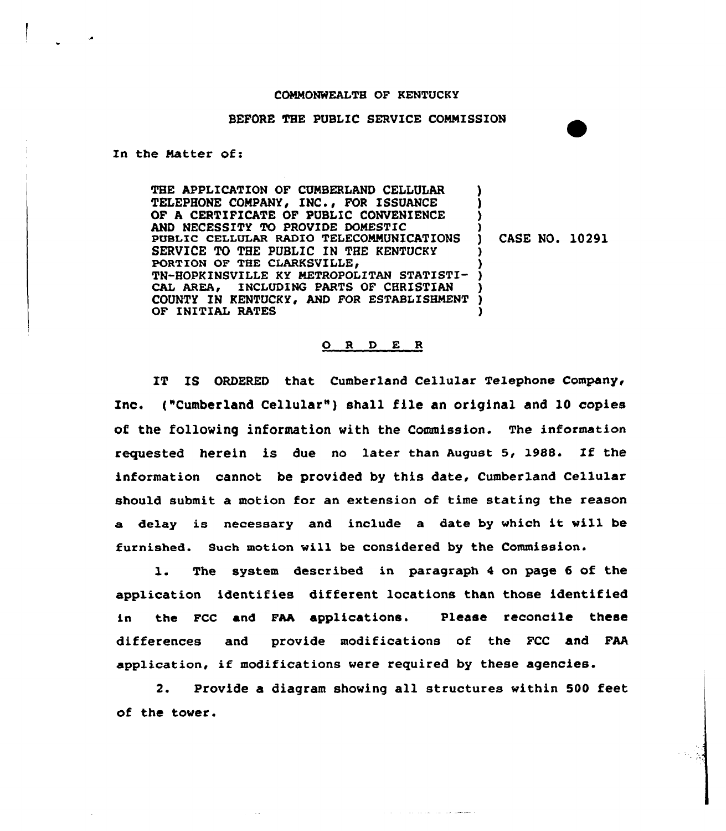## COMMONWEALTH OF KENTUCKY

## BEFORE THE PUBLIC SERVICE COMMISSION

In the Matter of:

THE APPLICATION OF CUMBERLAND CELLULAR TELEPHONE COMPANY, INC., FOR ISSUANCE OF A CERTIFICATE OF PUBLIC CONVENIENCE AND NECESSITY TO PROVIDE DOMESTIC PUBLIC CELLULAR RADIO TELECOMMUNICATIONS SERVICE TO THE PUBLIC IN THE KENTUCKY PORTION OF THE CLARKSVILLE, TN-BOPKINSVILLE KY METROPOLITAN STATISTI-CAL AREA, INCLUDING PARTS OF CHRISTIAN COUNTY IN KENTUCKY, AND FOR ESTABLISHMENT OF INITIAL RATES ) ) ) ) ) CASE NO. 10291 ) ) ) ) ) )

## ORDER

IT IS ORDERED that Cumberland Cellular Telephone Company, Xnc. ("Cumberland Cellular" ) shall file an original and l0 copies of the following information with the Commission. The information requested herein is due no later than August 5, l988. If the information cannot be provided by this date, Cumberland Cellular should submit a motion for an extension of time stating the reason a delay is necessary and include <sup>a</sup> date by vhich it will be furnished. Such motion will be considered by the Commission.

l. The system described in paragraph <sup>4</sup> on page <sup>6</sup> of the application identifies different locations than those identified in the FCC and FAA applications. Please reconcile these differences and provide modifications of the FCC and FAA application, if modifications were required by these agencies.

2. Provide a diagram showing all structures within 500 feet of the tower.

فالحداث المديد بداريات والداري